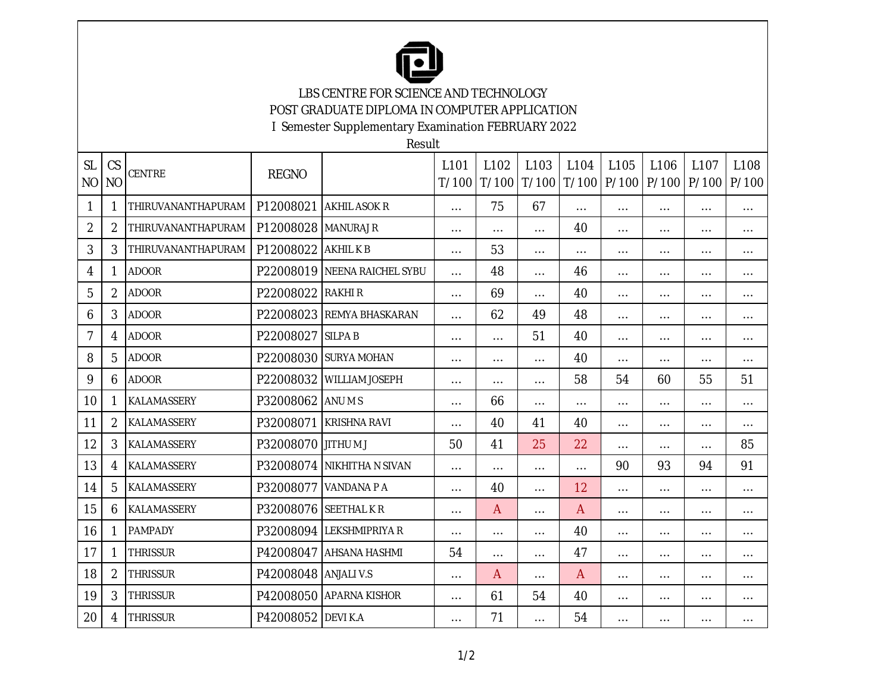

LBS CENTRE FOR SCIENCE AND TECHNOLOGY POST GRADUATE DIPLOMA IN COMPUTER APPLICATION

I Semester Supplementary Examination FEBRUARY 2022

Result

| <b>SL</b><br>N <sub>O</sub> | CS<br>N <sub>O</sub> | <b>CENTRE</b>      | <b>REGNO</b>       |                        | L <sub>101</sub><br>T/100 | L102     | L <sub>103</sub><br>$T/100$ $T/100$ | L <sub>104</sub> | L <sub>105</sub> | L106<br>T/100   P/100   P/100   P/100 | L107     | L108<br>P/100 |
|-----------------------------|----------------------|--------------------|--------------------|------------------------|---------------------------|----------|-------------------------------------|------------------|------------------|---------------------------------------|----------|---------------|
| 1                           | 1                    | THIRUVANANTHAPURAM | P12008021          | <b>AKHIL ASOK R</b>    | $\cdots$                  | 75       | 67                                  | $\cdots$         | $\cdots$         | $\cdots$                              | $\cdots$ | $\cdots$      |
| $\overline{2}$              | $\overline{2}$       | THIRUVANANTHAPURAM | P12008028          | <b>MANURAJ R</b>       | $\cdots$                  | $\cdots$ | $\cdots$                            | 40               | $\cdots$         | $\cdots$                              | $\cdots$ | $\cdots$      |
| 3                           | 3                    | THIRUVANANTHAPURAM | P12008022          | <b>AKHILKB</b>         | $\cdots$                  | 53       | $\cdots$                            | $\cdots$         | $\cdots$         | $\cdots$                              | $\cdots$ | $\cdots$      |
| 4                           | $\mathbf{1}$         | <b>ADOOR</b>       | P22008019          | NEENA RAICHEL SYBU     | $\cdots$                  | 48       | $\cdots$                            | 46               | $\cdots$         | $\cdots$                              | $\cdots$ | $\cdots$      |
| 5                           | 2                    | <b>ADOOR</b>       | P22008022          | RAKHI R                | $\cdots$                  | 69       | $\cdots$                            | 40               | $\cdots$         | $\cdots$                              | $\cdots$ | $\cdots$      |
| 6                           | 3                    | <b>ADOOR</b>       | P22008023          | <b>REMYA BHASKARAN</b> | $\cdots$                  | 62       | 49                                  | 48               | $\cdots$         | $\cdots$                              | $\cdots$ | $\cdots$      |
| 7                           | 4                    | <b>ADOOR</b>       | P22008027          | <b>SILPAB</b>          | $\cdots$                  | $\cdots$ | 51                                  | 40               | $\cdots$         | $\cdots$                              | $\cdots$ | $\cdots$      |
| 8                           | 5                    | <b>ADOOR</b>       | P22008030          | <b>SURYA MOHAN</b>     | $\cdots$                  | $\cdots$ | $\cdots$                            | 40               | $\cdots$         | $\cdots$                              | $\cdots$ | $\cdots$      |
| 9                           | 6                    | <b>ADOOR</b>       | P22008032          | <b>WILLIAM JOSEPH</b>  | $\cdots$                  | $\cdots$ | $\cdots$                            | 58               | 54               | 60                                    | 55       | 51            |
| 10                          | 1                    | KALAMASSERY        | P32008062          | ANU M S                | $\cdots$                  | 66       | $\cdots$                            | $\cdots$         | $\cdots$         | $\cdots$                              | $\cdots$ | $\cdots$      |
| 11                          | $\overline{2}$       | KALAMASSERY        | P32008071          | <b>KRISHNA RAVI</b>    | $\cdots$                  | 40       | 41                                  | 40               | $\cdots$         | $\cdots$                              | $\cdots$ | $\cdots$      |
| 12                          | 3                    | KALAMASSERY        | P32008070 JITHU MJ |                        | 50                        | 41       | 25                                  | 22               | $\cdots$         | .                                     | .        | 85            |
| 13                          | 4                    | KALAMASSERY        | P32008074          | NIKHITHA N SIVAN       | $\cdots$                  | $\cdots$ | $\cdots$                            | $\cdots$         | 90               | 93                                    | 94       | 91            |
| 14                          | 5                    | KALAMASSERY        | P32008077          | VANDANA P A            | $\cdots$                  | 40       | $\cdots$                            | 12               | $\cdots$         | $\cdots$                              | $\cdots$ | $\cdots$      |
| 15                          | 6                    | KALAMASSERY        | P32008076          | <b>SEETHALKR</b>       | $\cdots$                  | A        | $\cdots$                            | A                | $\cdots$         | $\cdots$                              | $\cdots$ | $\cdots$      |
| 16                          | 1                    | <b>PAMPADY</b>     | P32008094          | <b>LEKSHMIPRIYA R</b>  | $\cdots$                  | $\cdots$ | $\cdots$                            | 40               | $\cdots$         | $\cdots$                              | $\cdots$ | $\cdots$      |
| 17                          | 1                    | <b>THRISSUR</b>    | P42008047          | <b>AHSANA HASHMI</b>   | 54                        | $\cdots$ | $\cdots$                            | 47               | $\cdots$         | $\cdots$                              | $\cdots$ | $\cdots$      |
| 18                          | $\overline{2}$       | <b>THRISSUR</b>    | P42008048          | <b>ANJALI V.S</b>      | $\cdots$                  | Α        | $\cdots$                            | $\overline{A}$   | $\cdots$         | $\cdots$                              | $\cdots$ | $\cdots$      |
| 19                          | 3                    | <b>THRISSUR</b>    | P42008050          | <b>APARNA KISHOR</b>   | $\cdots$                  | 61       | 54                                  | 40               | $\cdots$         | $\cdots$                              | $\cdots$ | $\cdots$      |
| 20                          | 4                    | <b>THRISSUR</b>    | P42008052 DEVI K.A |                        | $\cdots$                  | 71       | $\cdots$                            | 54               | $\cdots$         | $\cdots$                              | $\cdots$ | $\cdots$      |